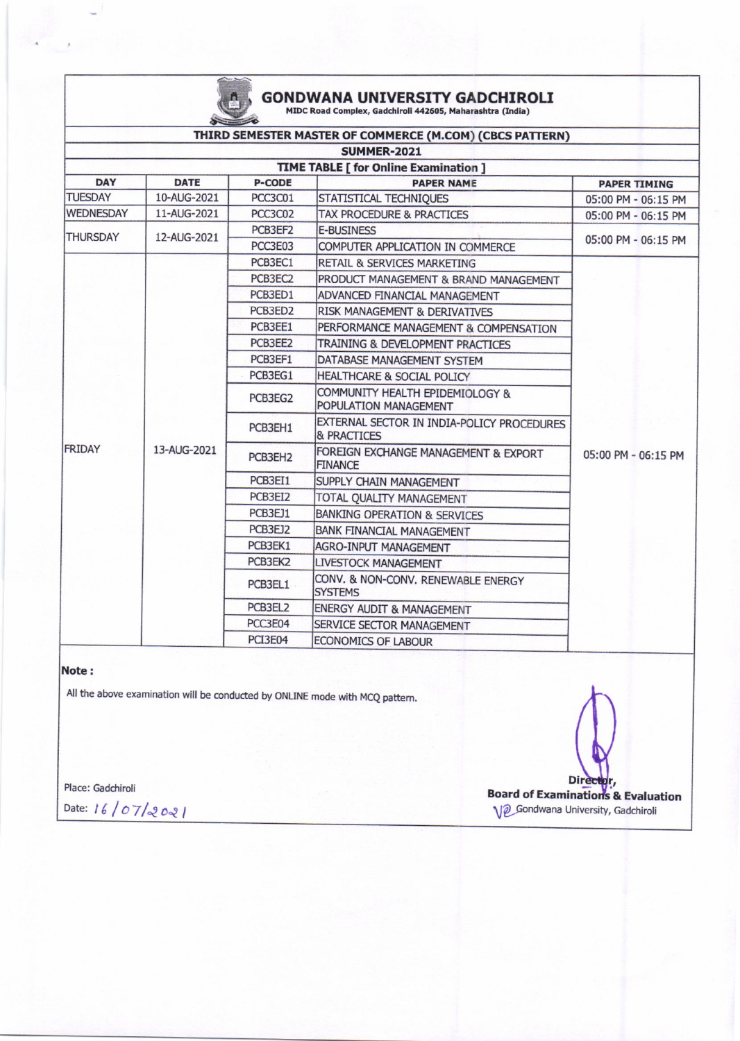

# GONDWANA UNIVERSITY GADCHIROLI

| $\sim$                                       |             |                     |                                                           |                     |  |  |  |
|----------------------------------------------|-------------|---------------------|-----------------------------------------------------------|---------------------|--|--|--|
|                                              |             |                     | THIRD SEMESTER MASTER OF COMMERCE (M.COM) (CBCS PATTERN)  |                     |  |  |  |
|                                              |             |                     | <b>SUMMER-2021</b>                                        |                     |  |  |  |
| <b>TIME TABLE [ for Online Examination ]</b> |             |                     |                                                           |                     |  |  |  |
| <b>DAY</b>                                   | <b>DATE</b> | <b>P-CODE</b>       | <b>PAPER NAME</b>                                         | <b>PAPER TIMING</b> |  |  |  |
| <b>TUESDAY</b>                               | 10-AUG-2021 | PCC3C01             | STATISTICAL TECHNIQUES                                    | 05:00 PM - 06:15 PM |  |  |  |
| <b>WEDNESDAY</b>                             | 11-AUG-2021 | PCC3C02             | TAX PROCEDURE & PRACTICES                                 | 05:00 PM - 06:15 PM |  |  |  |
| <b>THURSDAY</b>                              | 12-AUG-2021 | PCB3EF2             | <b>E-BUSINESS</b>                                         | 05:00 PM - 06:15 PM |  |  |  |
|                                              |             | PCC3E03             | COMPUTER APPLICATION IN COMMERCE                          |                     |  |  |  |
|                                              |             | PCB3EC1             | <b>RETAIL &amp; SERVICES MARKETING</b>                    | 05:00 PM - 06:15 PM |  |  |  |
|                                              |             | PCB3EC2             | PRODUCT MANAGEMENT & BRAND MANAGEMENT                     |                     |  |  |  |
|                                              |             | PCB3ED1             | ADVANCED FINANCIAL MANAGEMENT                             |                     |  |  |  |
|                                              |             | PCB3ED2             | RISK MANAGEMENT & DERIVATIVES                             |                     |  |  |  |
|                                              |             | PCB3EE1             | PERFORMANCE MANAGEMENT & COMPENSATION                     |                     |  |  |  |
|                                              |             | PCB3EE2             | TRAINING & DEVELOPMENT PRACTICES                          |                     |  |  |  |
| FRIDAY                                       | 13-AUG-2021 | PCB3EF1             | DATABASE MANAGEMENT SYSTEM                                |                     |  |  |  |
|                                              |             | PCB3EG1             | HEALTHCARE & SOCIAL POLICY                                |                     |  |  |  |
|                                              |             | PCB3EG2             | COMMUNITY HEALTH EPIDEMIOLOGY &<br>POPULATION MANAGEMENT  |                     |  |  |  |
|                                              |             | PCB3EH1             | EXTERNAL SECTOR IN INDIA-POLICY PROCEDURES<br>& PRACTICES |                     |  |  |  |
|                                              |             | PCB3EH <sub>2</sub> | FOREIGN EXCHANGE MANAGEMENT & EXPORT<br><b>FINANCE</b>    |                     |  |  |  |
|                                              |             | PCB3EI1             | SUPPLY CHAIN MANAGEMENT                                   |                     |  |  |  |
|                                              |             | PCB3EI2             | TOTAL QUALITY MANAGEMENT                                  |                     |  |  |  |
|                                              |             | PCB3EJ1             | BANKING OPERATION & SERVICES                              |                     |  |  |  |
|                                              |             | PCB3EJ2             | <b>BANK FINANCIAL MANAGEMENT</b>                          |                     |  |  |  |
|                                              |             | PCB3EK1             | AGRO-INPUT MANAGEMENT                                     |                     |  |  |  |
|                                              |             | PCB3EK2             | LIVESTOCK MANAGEMENT                                      |                     |  |  |  |
|                                              |             | PCB3EL1             | CONV. & NON-CONV. RENEWABLE ENERGY<br><b>SYSTEMS</b>      |                     |  |  |  |
|                                              |             | PCB3EL2             | <b>ENERGY AUDIT &amp; MANAGEMENT</b>                      |                     |  |  |  |
|                                              |             | PCC3E04             | SERVICE SECTOR MANAGEMENT                                 |                     |  |  |  |
|                                              |             | PCI3E04             | ECONOMICS OF LABOUR                                       |                     |  |  |  |

#### Note:

All the above examination will be conducted by ONLINE mode with MCQ pattern.

Place: Gadchiroli

Date: 16/07/2021

Director,<br>Board of Examinations & Evaluation V<sub>2</sub> Gondwana University, Gadchiroli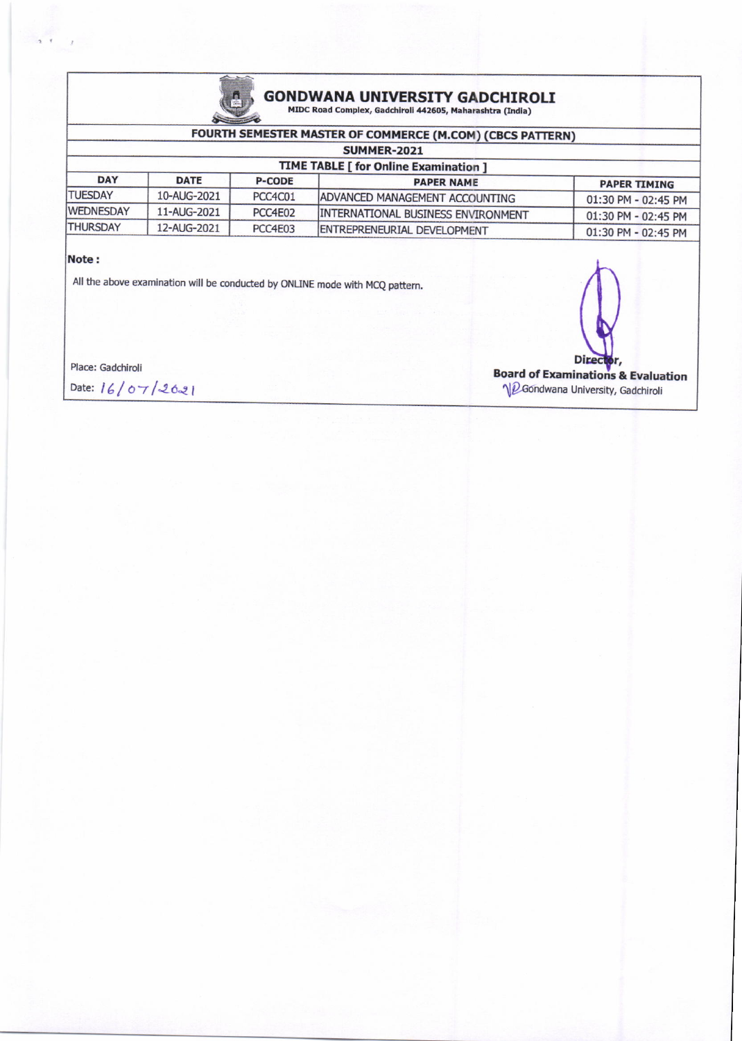

## GONDWANA UNIVERSITY GADCHIROLI<br>MIDC Road Complex, Gadchiroli 442605, Maharashtra (India)

#### FOURTH SEMESTER MASTER OF COMMERCE (M.COM) (CBCS PATTERN)

| <b>SUMMER-2021</b><br><b>TIME TABLE [ for Online Examination ]</b> |             |         |                                           |                     |  |  |  |
|--------------------------------------------------------------------|-------------|---------|-------------------------------------------|---------------------|--|--|--|
|                                                                    |             |         |                                           |                     |  |  |  |
| <b>TUESDAY</b>                                                     | 10-AUG-2021 | PCC4C01 | ADVANCED MANAGEMENT ACCOUNTING            | 01:30 PM - 02:45 PM |  |  |  |
| <b>WEDNESDAY</b>                                                   | 11-AUG-2021 | PCC4E02 | <b>INTERNATIONAL BUSINESS ENVIRONMENT</b> | 01:30 PM - 02:45 PM |  |  |  |
| <b>THURSDAY</b>                                                    | 12-AUG-2021 | PCC4E03 | ENTREPRENEURIAL DEVELOPMENT               | 01:30 PM - 02:45 PM |  |  |  |

#### Note:

All the above examination will be conducted by ONLINE mode with MCQ pattern.

Place: Gadchiroli

Date: 16/07/2021

**Direct Board of Examinations & Evaluation** NeGondwana University, Gadchiroli